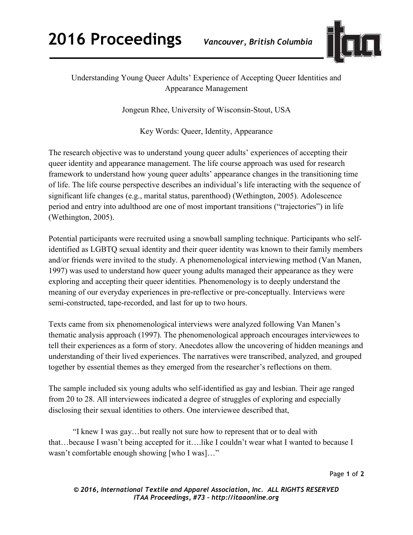

## Understanding Young Queer Adults' Experience of Accepting Queer Identities and Appearance Management

Jongeun Rhee, University of Wisconsin-Stout, USA

Key Words: Queer, Identity, Appearance

The research objective was to understand young queer adults' experiences of accepting their queer identity and appearance management. The life course approach was used for research framework to understand how young queer adults' appearance changes in the transitioning time of life. The life course perspective describes an individual's life interacting with the sequence of significant life changes (e.g., marital status, parenthood) (Wethington, 2005). Adolescence period and entry into adulthood are one of most important transitions ("trajectories") in life (Wethington, 2005).

Potential participants were recruited using a snowball sampling technique. Participants who selfidentified as LGBTQ sexual identity and their queer identity was known to their family members and/or friends were invited to the study. A phenomenological interviewing method (Van Manen, 1997) was used to understand how queer young adults managed their appearance as they were exploring and accepting their queer identities. Phenomenology is to deeply understand the meaning of our everyday experiences in pre-reflective or pre-conceptually. Interviews were semi-constructed, tape-recorded, and last for up to two hours.

Texts came from six phenomenological interviews were analyzed following Van Manen's thematic analysis approach (1997). The phenomenological approach encourages interviewees to tell their experiences as a form of story. Anecdotes allow the uncovering of hidden meanings and understanding of their lived experiences. The narratives were transcribed, analyzed, and grouped together by essential themes as they emerged from the researcher's reflections on them.

The sample included six young adults who self-identified as gay and lesbian. Their age ranged from 20 to 28. All interviewees indicated a degree of struggles of exploring and especially disclosing their sexual identities to others. One interviewee described that,

 "I knew I was gay…but really not sure how to represent that or to deal with that…because I wasn't being accepted for it….like I couldn't wear what I wanted to because I wasn't comfortable enough showing [who I was]…"

Page **1** of **2**